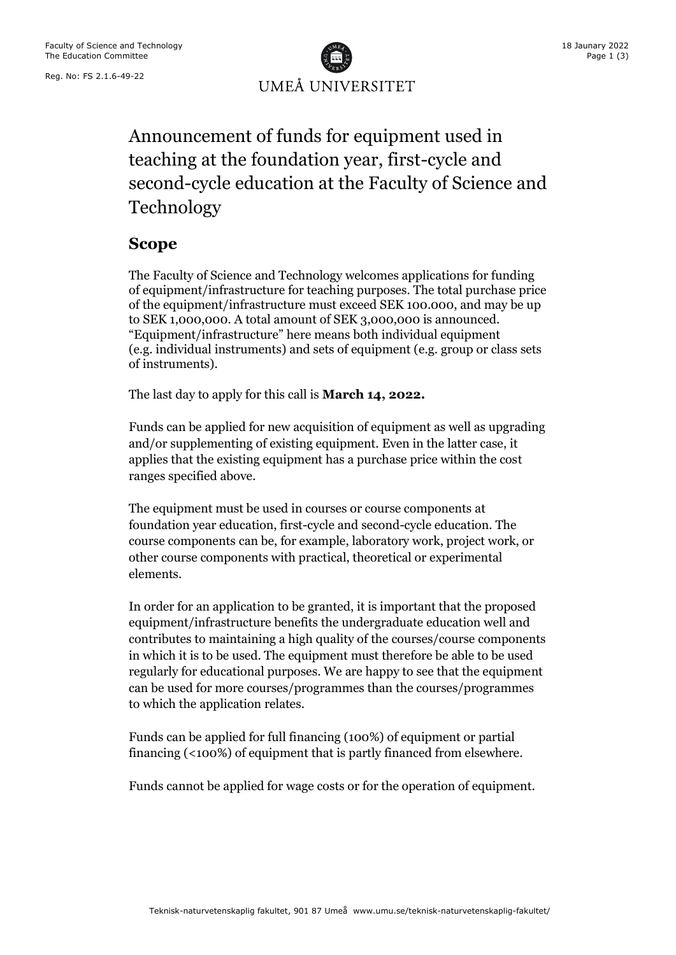Reg. No: FS 2.1.6-49-22



# Announcement of funds for equipment used in teaching at the foundation year, first-cycle and second-cycle education at the Faculty of Science and Technology

### **Scope**

The Faculty of Science and Technology welcomes applications for funding of equipment/infrastructure for teaching purposes. The total purchase price of the equipment/infrastructure must exceed SEK 100.000, and may be up to SEK 1,000,000. A total amount of SEK 3,000,000 is announced. "Equipment/infrastructure" here means both individual equipment (e.g. individual instruments) and sets of equipment (e.g. group or class sets of instruments).

The last day to apply for this call is **March 14, 2022.**

Funds can be applied for new acquisition of equipment as well as upgrading and/or supplementing of existing equipment. Even in the latter case, it applies that the existing equipment has a purchase price within the cost ranges specified above.

The equipment must be used in courses or course components at foundation year education, first-cycle and second-cycle education. The course components can be, for example, laboratory work, project work, or other course components with practical, theoretical or experimental elements.

In order for an application to be granted, it is important that the proposed equipment/infrastructure benefits the undergraduate education well and contributes to maintaining a high quality of the courses/course components in which it is to be used. The equipment must therefore be able to be used regularly for educational purposes. We are happy to see that the equipment can be used for more courses/programmes than the courses/programmes to which the application relates.

Funds can be applied for full financing (100%) of equipment or partial financing (<100%) of equipment that is partly financed from elsewhere.

Funds cannot be applied for wage costs or for the operation of equipment.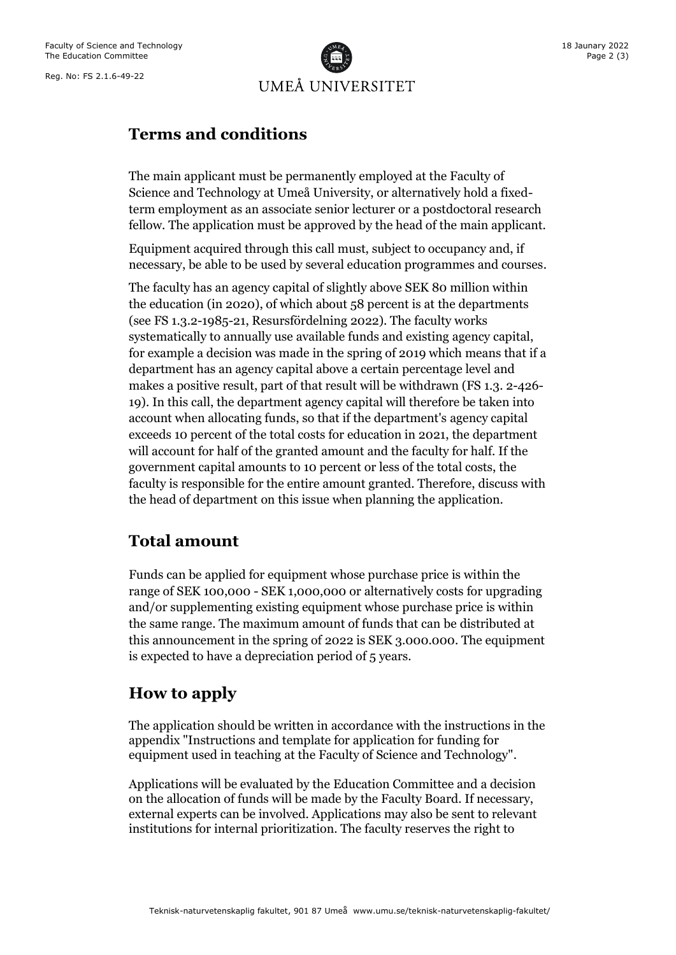

### **Terms and conditions**

The main applicant must be permanently employed at the Faculty of Science and Technology at Umeå University, or alternatively hold a fixedterm employment as an associate senior lecturer or a postdoctoral research fellow. The application must be approved by the head of the main applicant.

Equipment acquired through this call must, subject to occupancy and, if necessary, be able to be used by several education programmes and courses.

The faculty has an agency capital of slightly above SEK 80 million within the education (in 2020), of which about 58 percent is at the departments (see FS 1.3.2-1985-21, Resursfördelning 2022). The faculty works systematically to annually use available funds and existing agency capital, for example a decision was made in the spring of 2019 which means that if a department has an agency capital above a certain percentage level and makes a positive result, part of that result will be withdrawn (FS 1.3. 2-426- 19). In this call, the department agency capital will therefore be taken into account when allocating funds, so that if the department's agency capital exceeds 10 percent of the total costs for education in 2021, the department will account for half of the granted amount and the faculty for half. If the government capital amounts to 10 percent or less of the total costs, the faculty is responsible for the entire amount granted. Therefore, discuss with the head of department on this issue when planning the application.

#### **Total amount**

Funds can be applied for equipment whose purchase price is within the range of SEK 100,000 - SEK 1,000,000 or alternatively costs for upgrading and/or supplementing existing equipment whose purchase price is within the same range. The maximum amount of funds that can be distributed at this announcement in the spring of 2022 is SEK 3.000.000. The equipment is expected to have a depreciation period of 5 years.

#### **How to apply**

The application should be written in accordance with the instructions in the appendix "Instructions and template for application for funding for equipment used in teaching at the Faculty of Science and Technology".

Applications will be evaluated by the Education Committee and a decision on the allocation of funds will be made by the Faculty Board. If necessary, external experts can be involved. Applications may also be sent to relevant institutions for internal prioritization. The faculty reserves the right to